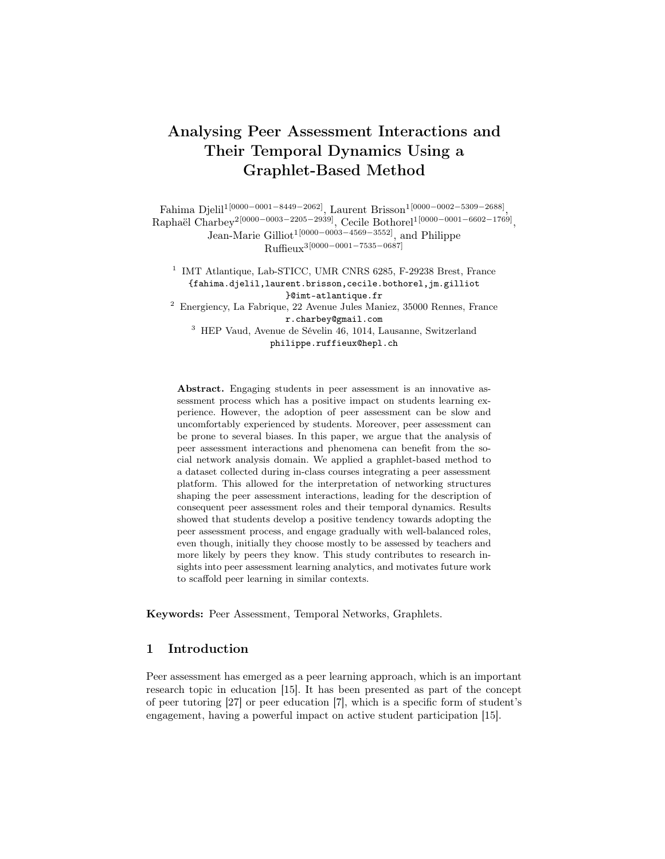# Analysing Peer Assessment Interactions and Their Temporal Dynamics Using a Graphlet-Based Method

Fahima Djelil1[0000−0001−8449−2062], Laurent Brisson1[0000−0002−5309−2688] , Raphaël Charbey<sup>2</sup><sup>[0000–0003–2205–2939]</sup>, Cecile Bothore<sup>11</sup><sup>[0000–0001–6602–1769]</sup>, Jean-Marie Gilliot<sup>1[0000–0003–4569–3552]</sup>, and Philippe Ruffieux3[0000−0001−7535−0687]

<sup>1</sup> IMT Atlantique, Lab-STICC, UMR CNRS 6285, F-29238 Brest, France {fahima.djelil,laurent.brisson,cecile.bothorel,jm.gilliot }@imt-atlantique.fr

<sup>2</sup> Energiency, La Fabrique, 22 Avenue Jules Maniez, 35000 Rennes, France r.charbey@gmail.com

<sup>3</sup> HEP Vaud, Avenue de Sévelin 46, 1014, Lausanne, Switzerland philippe.ruffieux@hepl.ch

Abstract. Engaging students in peer assessment is an innovative assessment process which has a positive impact on students learning experience. However, the adoption of peer assessment can be slow and uncomfortably experienced by students. Moreover, peer assessment can be prone to several biases. In this paper, we argue that the analysis of peer assessment interactions and phenomena can benefit from the social network analysis domain. We applied a graphlet-based method to a dataset collected during in-class courses integrating a peer assessment platform. This allowed for the interpretation of networking structures shaping the peer assessment interactions, leading for the description of consequent peer assessment roles and their temporal dynamics. Results showed that students develop a positive tendency towards adopting the peer assessment process, and engage gradually with well-balanced roles, even though, initially they choose mostly to be assessed by teachers and more likely by peers they know. This study contributes to research insights into peer assessment learning analytics, and motivates future work to scaffold peer learning in similar contexts.

Keywords: Peer Assessment, Temporal Networks, Graphlets.

## 1 Introduction

Peer assessment has emerged as a peer learning approach, which is an important research topic in education [15]. It has been presented as part of the concept of peer tutoring [27] or peer education [7], which is a specific form of student's engagement, having a powerful impact on active student participation [15].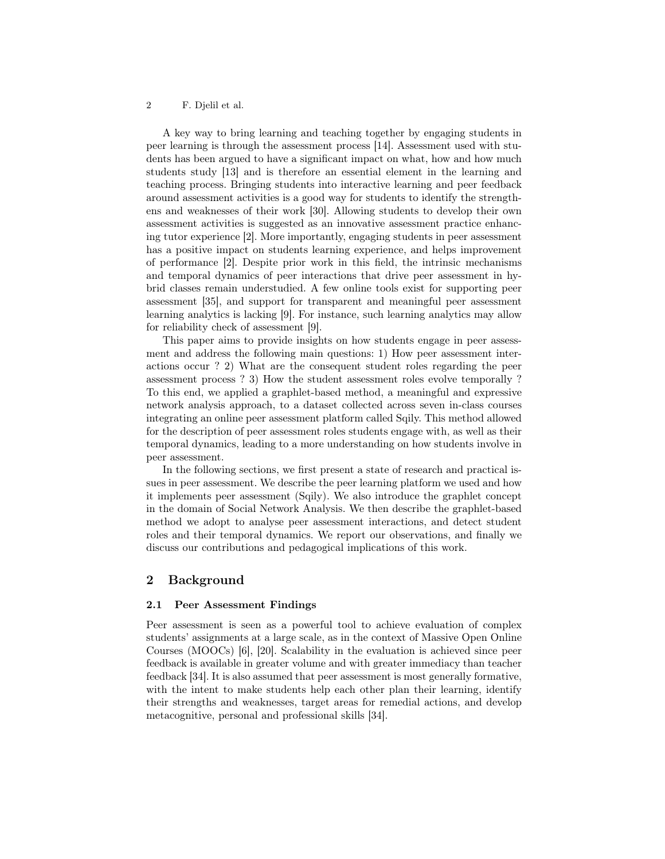#### 2 F. Djelil et al.

A key way to bring learning and teaching together by engaging students in peer learning is through the assessment process [14]. Assessment used with students has been argued to have a significant impact on what, how and how much students study [13] and is therefore an essential element in the learning and teaching process. Bringing students into interactive learning and peer feedback around assessment activities is a good way for students to identify the strengthens and weaknesses of their work [30]. Allowing students to develop their own assessment activities is suggested as an innovative assessment practice enhancing tutor experience [2]. More importantly, engaging students in peer assessment has a positive impact on students learning experience, and helps improvement of performance [2]. Despite prior work in this field, the intrinsic mechanisms and temporal dynamics of peer interactions that drive peer assessment in hybrid classes remain understudied. A few online tools exist for supporting peer assessment [35], and support for transparent and meaningful peer assessment learning analytics is lacking [9]. For instance, such learning analytics may allow for reliability check of assessment [9].

This paper aims to provide insights on how students engage in peer assessment and address the following main questions: 1) How peer assessment interactions occur ? 2) What are the consequent student roles regarding the peer assessment process ? 3) How the student assessment roles evolve temporally ? To this end, we applied a graphlet-based method, a meaningful and expressive network analysis approach, to a dataset collected across seven in-class courses integrating an online peer assessment platform called Sqily. This method allowed for the description of peer assessment roles students engage with, as well as their temporal dynamics, leading to a more understanding on how students involve in peer assessment.

In the following sections, we first present a state of research and practical issues in peer assessment. We describe the peer learning platform we used and how it implements peer assessment (Sqily). We also introduce the graphlet concept in the domain of Social Network Analysis. We then describe the graphlet-based method we adopt to analyse peer assessment interactions, and detect student roles and their temporal dynamics. We report our observations, and finally we discuss our contributions and pedagogical implications of this work.

### 2 Background

#### 2.1 Peer Assessment Findings

Peer assessment is seen as a powerful tool to achieve evaluation of complex students' assignments at a large scale, as in the context of Massive Open Online Courses (MOOCs) [6], [20]. Scalability in the evaluation is achieved since peer feedback is available in greater volume and with greater immediacy than teacher feedback [34]. It is also assumed that peer assessment is most generally formative, with the intent to make students help each other plan their learning, identify their strengths and weaknesses, target areas for remedial actions, and develop metacognitive, personal and professional skills [34].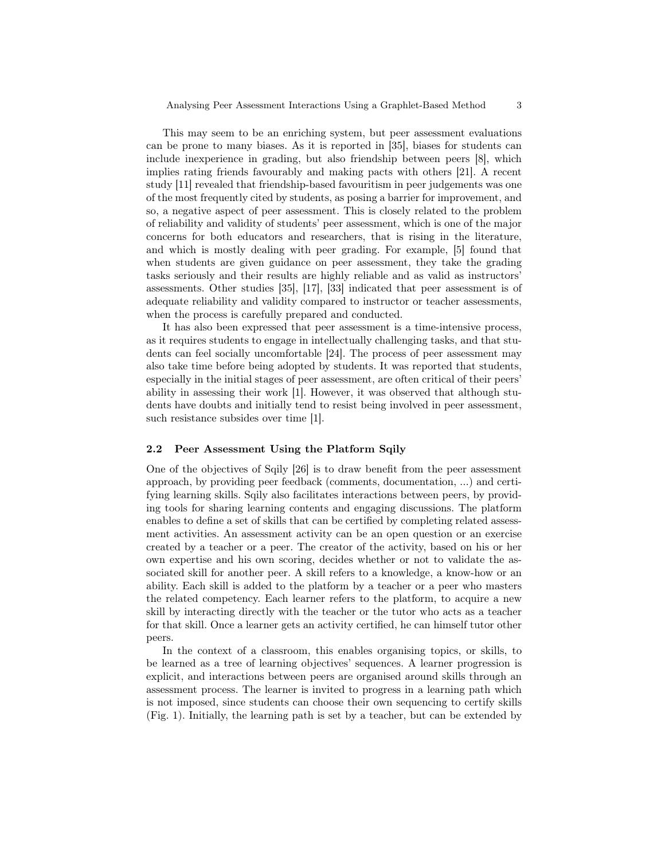This may seem to be an enriching system, but peer assessment evaluations can be prone to many biases. As it is reported in [35], biases for students can include inexperience in grading, but also friendship between peers [8], which implies rating friends favourably and making pacts with others [21]. A recent study [11] revealed that friendship-based favouritism in peer judgements was one of the most frequently cited by students, as posing a barrier for improvement, and so, a negative aspect of peer assessment. This is closely related to the problem of reliability and validity of students' peer assessment, which is one of the major concerns for both educators and researchers, that is rising in the literature, and which is mostly dealing with peer grading. For example, [5] found that when students are given guidance on peer assessment, they take the grading tasks seriously and their results are highly reliable and as valid as instructors' assessments. Other studies [35], [17], [33] indicated that peer assessment is of adequate reliability and validity compared to instructor or teacher assessments, when the process is carefully prepared and conducted.

It has also been expressed that peer assessment is a time-intensive process, as it requires students to engage in intellectually challenging tasks, and that students can feel socially uncomfortable [24]. The process of peer assessment may also take time before being adopted by students. It was reported that students, especially in the initial stages of peer assessment, are often critical of their peers' ability in assessing their work [1]. However, it was observed that although students have doubts and initially tend to resist being involved in peer assessment, such resistance subsides over time [1].

#### 2.2 Peer Assessment Using the Platform Sqily

One of the objectives of Sqily [26] is to draw benefit from the peer assessment approach, by providing peer feedback (comments, documentation, ...) and certifying learning skills. Sqily also facilitates interactions between peers, by providing tools for sharing learning contents and engaging discussions. The platform enables to define a set of skills that can be certified by completing related assessment activities. An assessment activity can be an open question or an exercise created by a teacher or a peer. The creator of the activity, based on his or her own expertise and his own scoring, decides whether or not to validate the associated skill for another peer. A skill refers to a knowledge, a know-how or an ability. Each skill is added to the platform by a teacher or a peer who masters the related competency. Each learner refers to the platform, to acquire a new skill by interacting directly with the teacher or the tutor who acts as a teacher for that skill. Once a learner gets an activity certified, he can himself tutor other peers.

In the context of a classroom, this enables organising topics, or skills, to be learned as a tree of learning objectives' sequences. A learner progression is explicit, and interactions between peers are organised around skills through an assessment process. The learner is invited to progress in a learning path which is not imposed, since students can choose their own sequencing to certify skills (Fig. 1). Initially, the learning path is set by a teacher, but can be extended by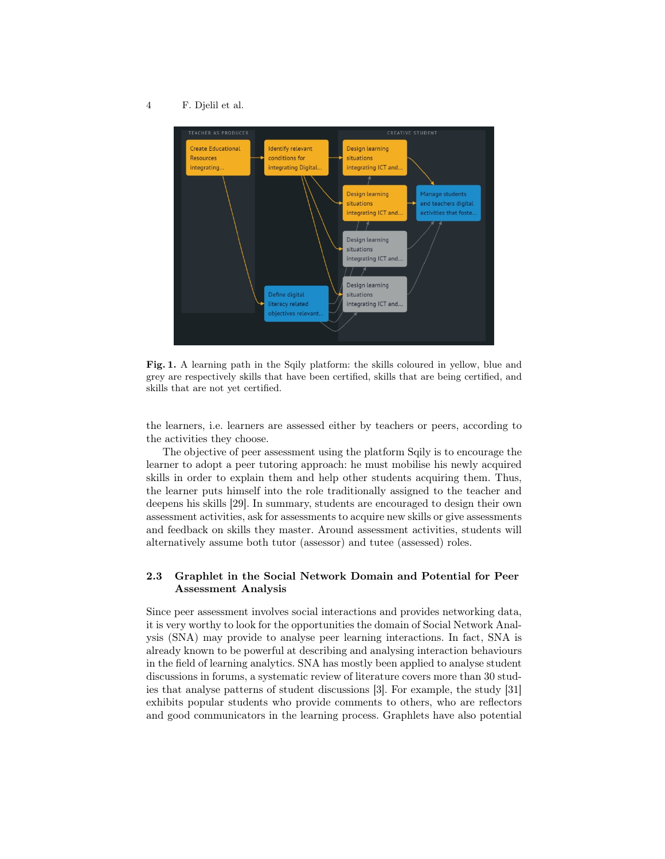4 F. Djelil et al.



Fig. 1. A learning path in the Sqily platform: the skills coloured in yellow, blue and grey are respectively skills that have been certified, skills that are being certified, and skills that are not yet certified.

the learners, i.e. learners are assessed either by teachers or peers, according to the activities they choose.

The objective of peer assessment using the platform Sqily is to encourage the learner to adopt a peer tutoring approach: he must mobilise his newly acquired skills in order to explain them and help other students acquiring them. Thus, the learner puts himself into the role traditionally assigned to the teacher and deepens his skills [29]. In summary, students are encouraged to design their own assessment activities, ask for assessments to acquire new skills or give assessments and feedback on skills they master. Around assessment activities, students will alternatively assume both tutor (assessor) and tutee (assessed) roles.

# 2.3 Graphlet in the Social Network Domain and Potential for Peer Assessment Analysis

Since peer assessment involves social interactions and provides networking data, it is very worthy to look for the opportunities the domain of Social Network Analysis (SNA) may provide to analyse peer learning interactions. In fact, SNA is already known to be powerful at describing and analysing interaction behaviours in the field of learning analytics. SNA has mostly been applied to analyse student discussions in forums, a systematic review of literature covers more than 30 studies that analyse patterns of student discussions [3]. For example, the study [31] exhibits popular students who provide comments to others, who are reflectors and good communicators in the learning process. Graphlets have also potential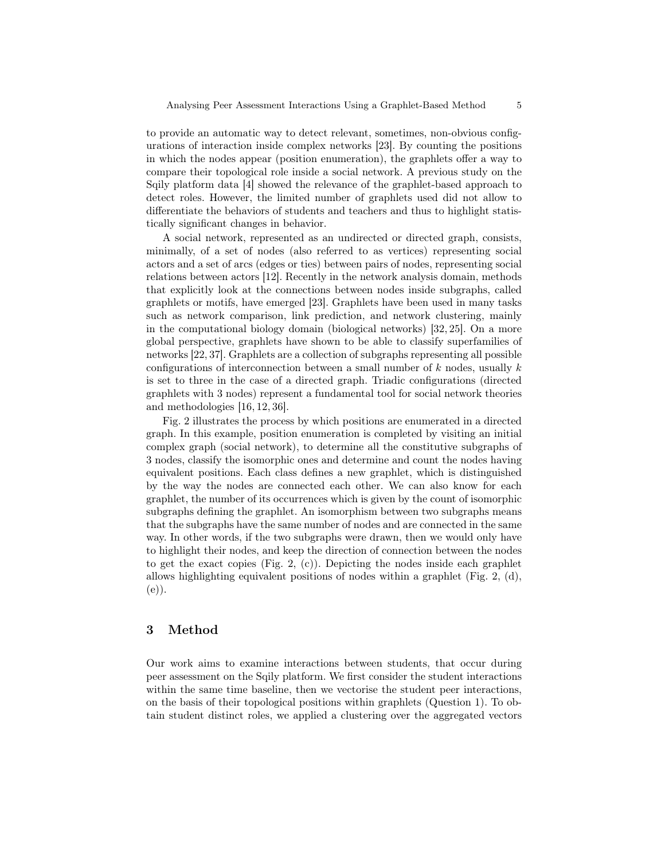to provide an automatic way to detect relevant, sometimes, non-obvious configurations of interaction inside complex networks [23]. By counting the positions in which the nodes appear (position enumeration), the graphlets offer a way to compare their topological role inside a social network. A previous study on the Sqily platform data [4] showed the relevance of the graphlet-based approach to detect roles. However, the limited number of graphlets used did not allow to differentiate the behaviors of students and teachers and thus to highlight statistically significant changes in behavior.

A social network, represented as an undirected or directed graph, consists, minimally, of a set of nodes (also referred to as vertices) representing social actors and a set of arcs (edges or ties) between pairs of nodes, representing social relations between actors [12]. Recently in the network analysis domain, methods that explicitly look at the connections between nodes inside subgraphs, called graphlets or motifs, have emerged [23]. Graphlets have been used in many tasks such as network comparison, link prediction, and network clustering, mainly in the computational biology domain (biological networks) [32, 25]. On a more global perspective, graphlets have shown to be able to classify superfamilies of networks [22, 37]. Graphlets are a collection of subgraphs representing all possible configurations of interconnection between a small number of  $k$  nodes, usually  $k$ is set to three in the case of a directed graph. Triadic configurations (directed graphlets with 3 nodes) represent a fundamental tool for social network theories and methodologies [16, 12, 36].

Fig. 2 illustrates the process by which positions are enumerated in a directed graph. In this example, position enumeration is completed by visiting an initial complex graph (social network), to determine all the constitutive subgraphs of 3 nodes, classify the isomorphic ones and determine and count the nodes having equivalent positions. Each class defines a new graphlet, which is distinguished by the way the nodes are connected each other. We can also know for each graphlet, the number of its occurrences which is given by the count of isomorphic subgraphs defining the graphlet. An isomorphism between two subgraphs means that the subgraphs have the same number of nodes and are connected in the same way. In other words, if the two subgraphs were drawn, then we would only have to highlight their nodes, and keep the direction of connection between the nodes to get the exact copies (Fig. 2, (c)). Depicting the nodes inside each graphlet allows highlighting equivalent positions of nodes within a graphlet (Fig. 2, (d), (e)).

## 3 Method

Our work aims to examine interactions between students, that occur during peer assessment on the Sqily platform. We first consider the student interactions within the same time baseline, then we vectorise the student peer interactions, on the basis of their topological positions within graphlets (Question 1). To obtain student distinct roles, we applied a clustering over the aggregated vectors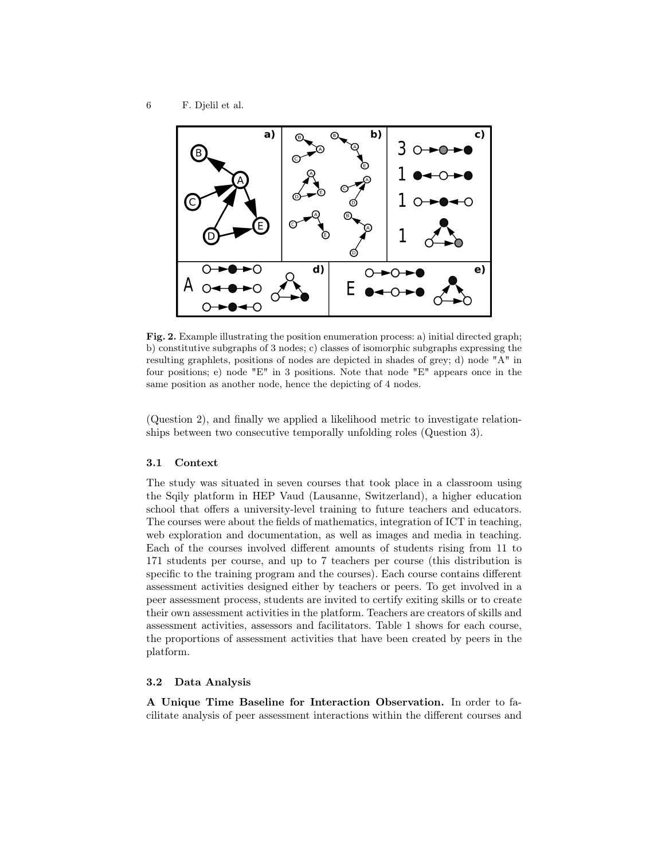

Fig. 2. Example illustrating the position enumeration process: a) initial directed graph; b) constitutive subgraphs of 3 nodes; c) classes of isomorphic subgraphs expressing the resulting graphlets, positions of nodes are depicted in shades of grey; d) node "A" in four positions; e) node "E" in 3 positions. Note that node "E" appears once in the same position as another node, hence the depicting of 4 nodes.

(Question 2), and finally we applied a likelihood metric to investigate relationships between two consecutive temporally unfolding roles (Question 3).

#### 3.1 Context

The study was situated in seven courses that took place in a classroom using the Sqily platform in HEP Vaud (Lausanne, Switzerland), a higher education school that offers a university-level training to future teachers and educators. The courses were about the fields of mathematics, integration of ICT in teaching, web exploration and documentation, as well as images and media in teaching. Each of the courses involved different amounts of students rising from 11 to 171 students per course, and up to 7 teachers per course (this distribution is specific to the training program and the courses). Each course contains different assessment activities designed either by teachers or peers. To get involved in a peer assessment process, students are invited to certify exiting skills or to create their own assessment activities in the platform. Teachers are creators of skills and assessment activities, assessors and facilitators. Table 1 shows for each course, the proportions of assessment activities that have been created by peers in the platform.

#### 3.2 Data Analysis

A Unique Time Baseline for Interaction Observation. In order to facilitate analysis of peer assessment interactions within the different courses and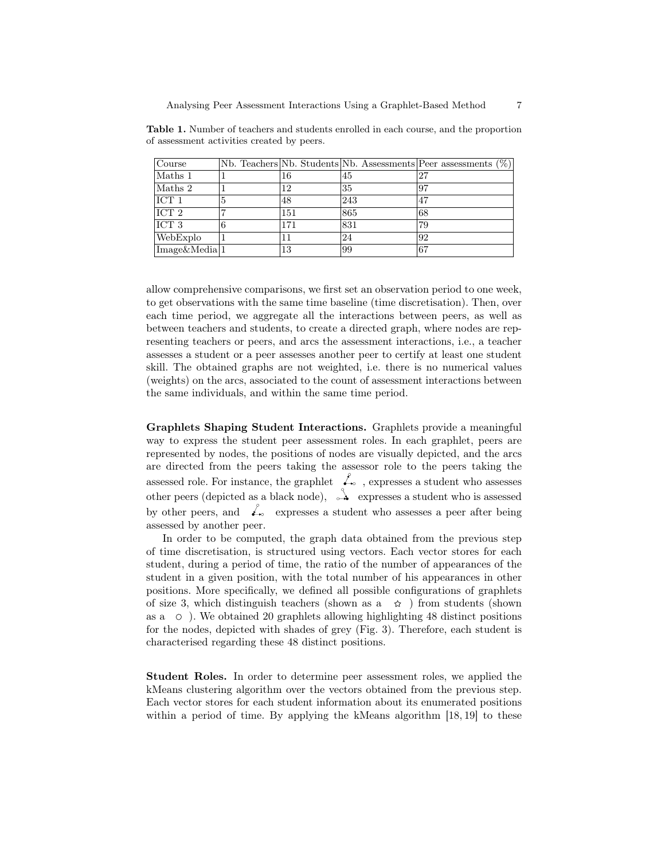| Course                   |   |     |     | Nb. Teachers Nb. Students Nb. Assessments Peer assessments $(\%)$ |
|--------------------------|---|-----|-----|-------------------------------------------------------------------|
| Maths 1                  |   | 16  | 45  | 27                                                                |
| Maths 2                  |   | 12  | 35  | 97                                                                |
| ICT <sub>1</sub>         | 5 | 48  | 243 | 47                                                                |
| ICT 2                    |   | 151 | 865 | 68                                                                |
| ICT 3                    | 6 | 171 | 831 | 79                                                                |
| WebExplo                 |   | 11  | 24  | 92                                                                |
| Image&Media <sup>1</sup> |   | 13  | 99  | 67                                                                |

Table 1. Number of teachers and students enrolled in each course, and the proportion of assessment activities created by peers.

allow comprehensive comparisons, we first set an observation period to one week, to get observations with the same time baseline (time discretisation). Then, over each time period, we aggregate all the interactions between peers, as well as between teachers and students, to create a directed graph, where nodes are representing teachers or peers, and arcs the assessment interactions, i.e., a teacher assesses a student or a peer assesses another peer to certify at least one student skill. The obtained graphs are not weighted, i.e. there is no numerical values (weights) on the arcs, associated to the count of assessment interactions between the same individuals, and within the same time period.

Graphlets Shaping Student Interactions. Graphlets provide a meaningful way to express the student peer assessment roles. In each graphlet, peers are represented by nodes, the positions of nodes are visually depicted, and the arcs are directed from the peers taking the assessor role to the peers taking the assessed role. For instance, the graphlet  $\mathcal{L}_{\infty}$ , expresses a student who assesses other peers (depicted as a black node),  $\stackrel{\circ}{\rightarrow}$  expresses a student who is assessed by other peers, and  $\mathcal{L}_{\infty}$  expresses a student who assesses a peer after being assessed by another peer.

In order to be computed, the graph data obtained from the previous step of time discretisation, is structured using vectors. Each vector stores for each student, during a period of time, the ratio of the number of appearances of the student in a given position, with the total number of his appearances in other positions. More specifically, we defined all possible configurations of graphlets of size 3, which distinguish teachers (shown as a  $\hat{\varphi}$ ) from students (shown as a  $\circ$ ). We obtained 20 graphlets allowing highlighting 48 distinct positions for the nodes, depicted with shades of grey (Fig. 3). Therefore, each student is characterised regarding these 48 distinct positions.

Student Roles. In order to determine peer assessment roles, we applied the kMeans clustering algorithm over the vectors obtained from the previous step. Each vector stores for each student information about its enumerated positions within a period of time. By applying the kMeans algorithm [18, 19] to these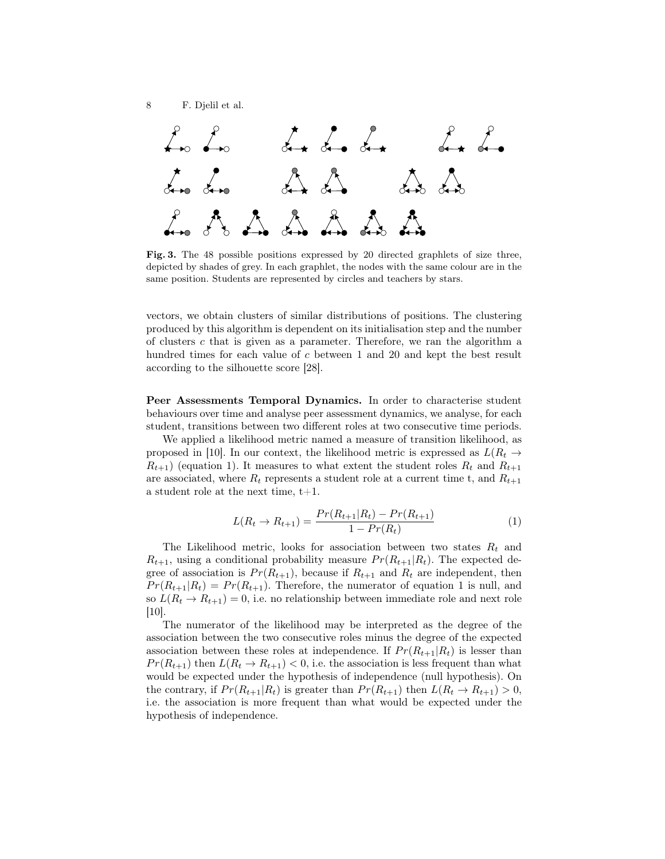

Fig. 3. The 48 possible positions expressed by 20 directed graphlets of size three, depicted by shades of grey. In each graphlet, the nodes with the same colour are in the same position. Students are represented by circles and teachers by stars.

vectors, we obtain clusters of similar distributions of positions. The clustering produced by this algorithm is dependent on its initialisation step and the number of clusters c that is given as a parameter. Therefore, we ran the algorithm a hundred times for each value of c between 1 and 20 and kept the best result according to the silhouette score [28].

Peer Assessments Temporal Dynamics. In order to characterise student behaviours over time and analyse peer assessment dynamics, we analyse, for each student, transitions between two different roles at two consecutive time periods.

We applied a likelihood metric named a measure of transition likelihood, as proposed in [10]. In our context, the likelihood metric is expressed as  $L(R_t \rightarrow$  $R_{t+1}$ ) (equation 1). It measures to what extent the student roles  $R_t$  and  $R_{t+1}$ are associated, where  $R_t$  represents a student role at a current time t, and  $R_{t+1}$ a student role at the next time,  $t+1$ .

$$
L(R_t \to R_{t+1}) = \frac{Pr(R_{t+1}|R_t) - Pr(R_{t+1})}{1 - Pr(R_t)}
$$
\n(1)

The Likelihood metric, looks for association between two states  $R_t$  and  $R_{t+1}$ , using a conditional probability measure  $Pr(R_{t+1}|R_t)$ . The expected degree of association is  $Pr(R_{t+1})$ , because if  $R_{t+1}$  and  $R_t$  are independent, then  $Pr(R_{t+1}|R_t) = Pr(R_{t+1})$ . Therefore, the numerator of equation 1 is null, and so  $L(R_t \to R_{t+1}) = 0$ , i.e. no relationship between immediate role and next role [10].

The numerator of the likelihood may be interpreted as the degree of the association between the two consecutive roles minus the degree of the expected association between these roles at independence. If  $Pr(R_{t+1}|R_t)$  is lesser than  $Pr(R_{t+1})$  then  $L(R_t \to R_{t+1}) < 0$ , i.e. the association is less frequent than what would be expected under the hypothesis of independence (null hypothesis). On the contrary, if  $Pr(R_{t+1}|R_t)$  is greater than  $Pr(R_{t+1})$  then  $L(R_t \rightarrow R_{t+1}) > 0$ , i.e. the association is more frequent than what would be expected under the hypothesis of independence.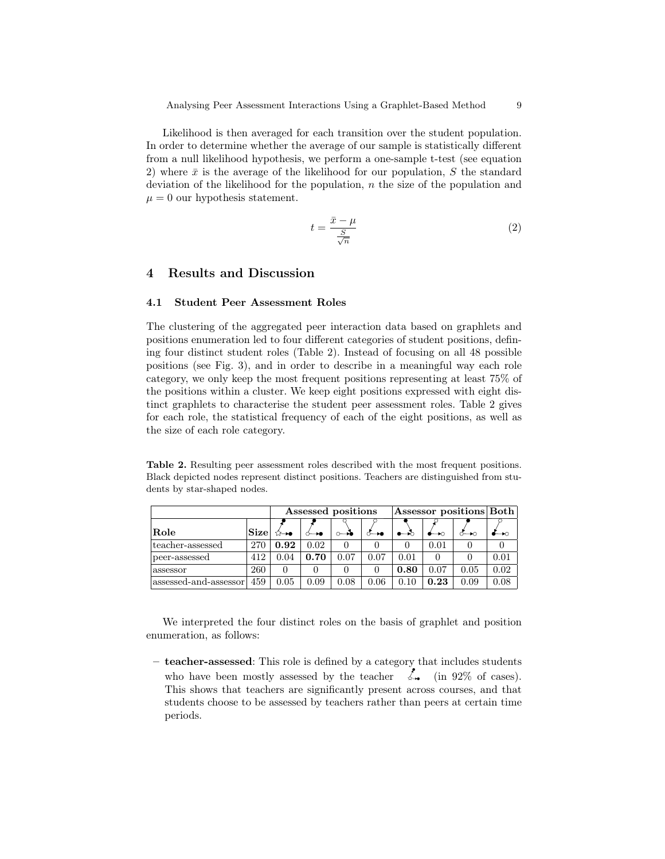Likelihood is then averaged for each transition over the student population. In order to determine whether the average of our sample is statistically different from a null likelihood hypothesis, we perform a one-sample t-test (see equation 2) where  $\bar{x}$  is the average of the likelihood for our population, S the standard deviation of the likelihood for the population,  $n$  the size of the population and  $\mu = 0$  our hypothesis statement.

$$
t = \frac{\bar{x} - \mu}{\frac{S}{\sqrt{n}}} \tag{2}
$$

# 4 Results and Discussion

#### 4.1 Student Peer Assessment Roles

The clustering of the aggregated peer interaction data based on graphlets and positions enumeration led to four different categories of student positions, defining four distinct student roles (Table 2). Instead of focusing on all 48 possible positions (see Fig. 3), and in order to describe in a meaningful way each role category, we only keep the most frequent positions representing at least 75% of the positions within a cluster. We keep eight positions expressed with eight distinct graphlets to characterise the student peer assessment roles. Table 2 gives for each role, the statistical frequency of each of the eight positions, as well as the size of each role category.

Table 2. Resulting peer assessment roles described with the most frequent positions. Black depicted nodes represent distinct positions. Teachers are distinguished from students by star-shaped nodes.

|                       | Assessed positions |       |      |      | $ {\rm Assessment~positions} {\rm Both} $ |      |      |      |      |
|-----------------------|--------------------|-------|------|------|-------------------------------------------|------|------|------|------|
| $\rm Role$            | Size               | 12—10 |      |      |                                           |      |      |      |      |
| teacher-assessed      | 270                | 0.92  | 0.02 |      |                                           |      | 0.01 |      |      |
| peer-assessed         | 412                | 0.04  | 0.70 | 0.07 | 0.07                                      | 0.01 |      |      | 0.01 |
| assessor              | 260                |       |      |      |                                           | 0.80 | 0.07 | 0.05 | 0.02 |
| assessed-and-assessor | 459                | 0.05  | 0.09 | 0.08 | 0.06                                      | 0.10 | 0.23 | 0.09 | 0.08 |

We interpreted the four distinct roles on the basis of graphlet and position enumeration, as follows:

– teacher-assessed: This role is defined by a category that includes students who have been mostly assessed by the teacher  $\lim_{n \to \infty} 92\%$  of cases). This shows that teachers are significantly present across courses, and that students choose to be assessed by teachers rather than peers at certain time periods.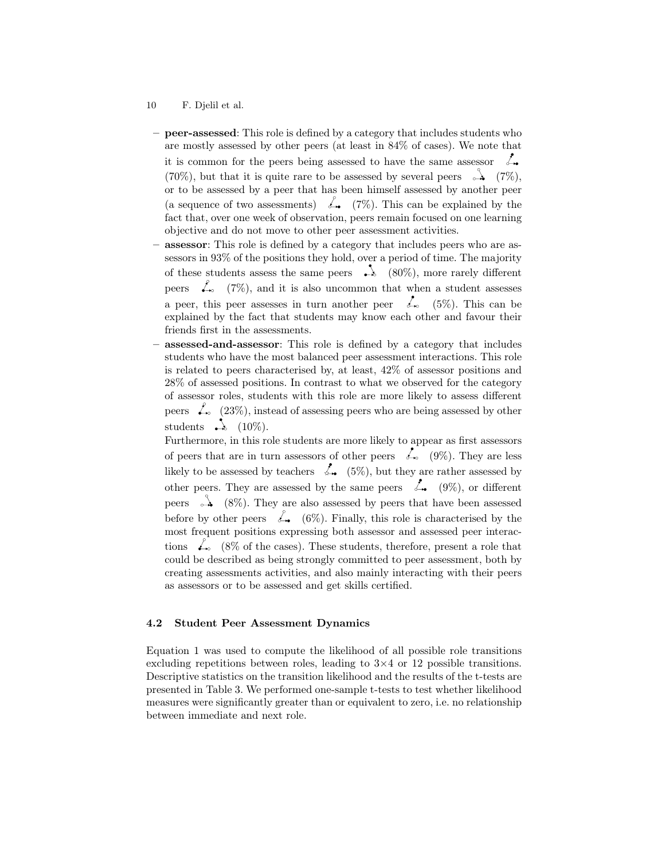- 10 F. Djelil et al.
- peer-assessed: This role is defined by a category that includes students who are mostly assessed by other peers (at least in 84% of cases). We note that it is common for the peers being assessed to have the same assessor  $\mathcal{L}_{\bullet}$ (70%), but that it is quite rare to be assessed by several peers  $\rightarrow$  (7%), or to be assessed by a peer that has been himself assessed by another peer (a sequence of two assessments)  $\mathcal{L}_{\bullet}$  (7%). This can be explained by the fact that, over one week of observation, peers remain focused on one learning objective and do not move to other peer assessment activities.
- **assessor**: This role is defined by a category that includes peers who are assessors in 93% of the positions they hold, over a period of time. The majority of these students assess the same peers  $\rightarrow \$  (80%), more rarely different peers  $\mathcal{L}_{\infty}$  (7%), and it is also uncommon that when a student assesses a peer, this peer assesses in turn another peer  $\mathcal{L}_{\infty}$  (5%). This can be explained by the fact that students may know each other and favour their friends first in the assessments.
- assessed-and-assessor: This role is defined by a category that includes students who have the most balanced peer assessment interactions. This role is related to peers characterised by, at least, 42% of assessor positions and 28% of assessed positions. In contrast to what we observed for the category of assessor roles, students with this role are more likely to assess different peers  $\mathcal{L}_{\infty}$  (23%), instead of assessing peers who are being assessed by other students  $\rightarrow$  (10%).

Furthermore, in this role students are more likely to appear as first assessors of peers that are in turn assessors of other peers  $\sim$  (9%). They are less likely to be assessed by teachers  $\overrightarrow{A}_{\bullet}$  (5%), but they are rather assessed by other peers. They are assessed by the same peers  $\mathcal{L}_{\bullet}$  (9%), or different peers  $\rightarrow$  (8%). They are also assessed by peers that have been assessed before by other peers  $\mathcal{L}_{\bullet}$  (6%). Finally, this role is characterised by the most frequent positions expressing both assessor and assessed peer interactions  $\&$  (8% of the cases). These students, therefore, present a role that could be described as being strongly committed to peer assessment, both by creating assessments activities, and also mainly interacting with their peers as assessors or to be assessed and get skills certified.

#### 4.2 Student Peer Assessment Dynamics

Equation 1 was used to compute the likelihood of all possible role transitions excluding repetitions between roles, leading to  $3\times4$  or 12 possible transitions. Descriptive statistics on the transition likelihood and the results of the t-tests are presented in Table 3. We performed one-sample t-tests to test whether likelihood measures were significantly greater than or equivalent to zero, i.e. no relationship between immediate and next role.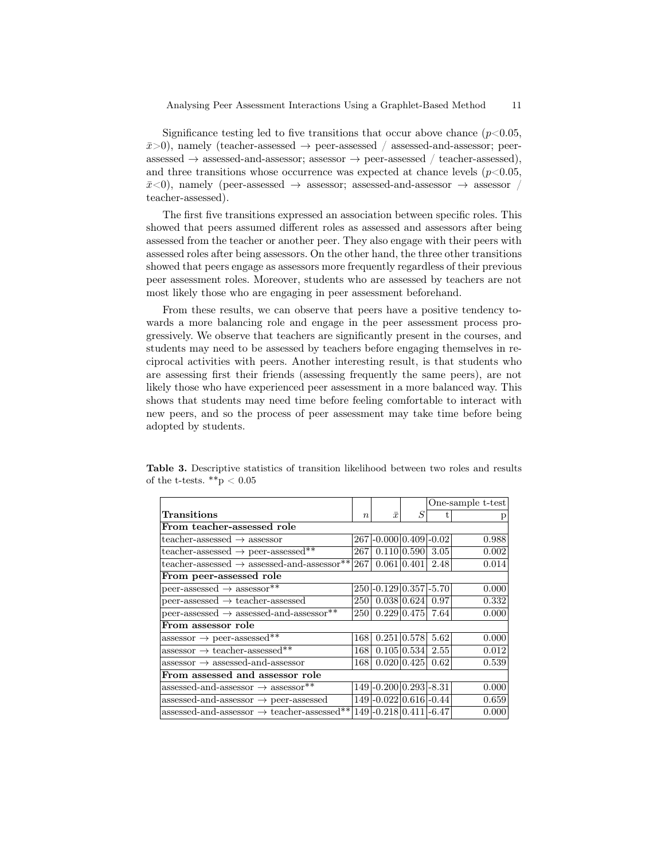Significance testing led to five transitions that occur above chance  $(p<0.05$ ,  $\bar{x}$ >0), namely (teacher-assessed  $\rightarrow$  peer-assessed / assessed-and-assessor; peer $a$ assessed  $\rightarrow$  assessed-and-assessor; assessor  $\rightarrow$  peer-assessed / teacher-assessed), and three transitions whose occurrence was expected at chance levels  $(p<0.05$ ,  $\bar{x}<0$ , namely (peer-assessed  $\rightarrow$  assessor; assessed-and-assessor  $\rightarrow$  assessor / teacher-assessed).

The first five transitions expressed an association between specific roles. This showed that peers assumed different roles as assessed and assessors after being assessed from the teacher or another peer. They also engage with their peers with assessed roles after being assessors. On the other hand, the three other transitions showed that peers engage as assessors more frequently regardless of their previous peer assessment roles. Moreover, students who are assessed by teachers are not most likely those who are engaging in peer assessment beforehand.

From these results, we can observe that peers have a positive tendency towards a more balancing role and engage in the peer assessment process progressively. We observe that teachers are significantly present in the courses, and students may need to be assessed by teachers before engaging themselves in reciprocal activities with peers. Another interesting result, is that students who are assessing first their friends (assessing frequently the same peers), are not likely those who have experienced peer assessment in a more balanced way. This shows that students may need time before feeling comfortable to interact with new peers, and so the process of peer assessment may take time before being adopted by students.

|                                                            |                  |                           |   | One-sample t-test |       |  |  |
|------------------------------------------------------------|------------------|---------------------------|---|-------------------|-------|--|--|
| Transitions                                                | $\boldsymbol{n}$ | $\bar{x}$                 | S |                   |       |  |  |
| From teacher-assessed role                                 |                  |                           |   |                   |       |  |  |
| teacher-assessed $\rightarrow$ assessor                    |                  | $267$  -0.000 0.409 -0.02 |   |                   | 0.988 |  |  |
| teacher-assessed $\rightarrow$ peer-assessed**             | 267              | 0.110 0.590               |   | 3.05              | 0.002 |  |  |
| teacher-assessed $\rightarrow$ assessed-and-assessor**     | 267              | 0.061 0.401               |   | 2.48              | 0.014 |  |  |
| From peer-assessed role                                    |                  |                           |   |                   |       |  |  |
| peer-assessed $\rightarrow$ assessor**                     |                  | $250$  -0.129 0.357 -5.70 |   |                   | 0.000 |  |  |
| $peer-assessed \rightarrow teacher-assessed$               | 2501             | 0.038 0.624               |   | 0.97              | 0.332 |  |  |
| peer-assessed $\rightarrow$ assessed-and-assessor**        | <b>250</b>       | $0.229 \, 0.475$          |   | 7.64              | 0.000 |  |  |
| From assessor role                                         |                  |                           |   |                   |       |  |  |
| $assessor \rightarrow peer-assessed**$                     | 168              | $0.251 \,   0.578$        |   | 5.62              | 0.000 |  |  |
| $assessor \rightarrow teacher-assessed**$                  | 168              | $0.105 \,   0.534  $      |   | 2.55              | 0.012 |  |  |
| $assessor \rightarrow assessed-and-assessor$               | 1681             | 0.020   0.425             |   | 0.62              | 0.539 |  |  |
| From assessed and assessor role                            |                  |                           |   |                   |       |  |  |
| assessed-and-assessor $\rightarrow$ assessor <sup>**</sup> |                  | $149$  -0.200 0.293 -8.31 |   |                   | 0.000 |  |  |
| assessed-and-assessor $\rightarrow$ peer-assessed          |                  | 149 - 0.022 0.616 - 0.44  |   |                   | 0.659 |  |  |
| assessed-and-assessor $\rightarrow$ teacher-assessed**     |                  | 149 - 0.218 0.411 - 6.47  |   |                   | 0.000 |  |  |

Table 3. Descriptive statistics of transition likelihood between two roles and results of the t-tests.  $**p < 0.05$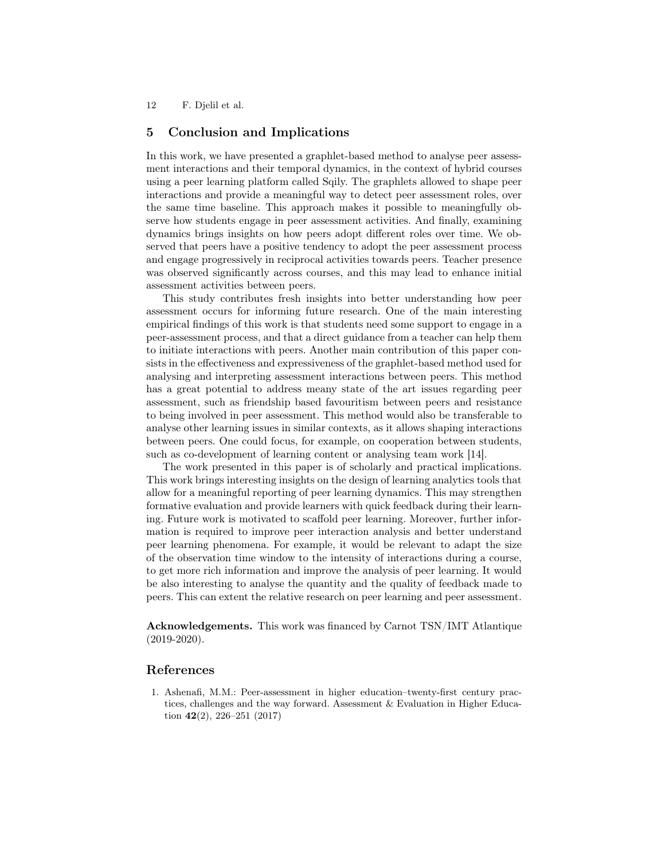12 F. Djelil et al.

# 5 Conclusion and Implications

In this work, we have presented a graphlet-based method to analyse peer assessment interactions and their temporal dynamics, in the context of hybrid courses using a peer learning platform called Sqily. The graphlets allowed to shape peer interactions and provide a meaningful way to detect peer assessment roles, over the same time baseline. This approach makes it possible to meaningfully observe how students engage in peer assessment activities. And finally, examining dynamics brings insights on how peers adopt different roles over time. We observed that peers have a positive tendency to adopt the peer assessment process and engage progressively in reciprocal activities towards peers. Teacher presence was observed significantly across courses, and this may lead to enhance initial assessment activities between peers.

This study contributes fresh insights into better understanding how peer assessment occurs for informing future research. One of the main interesting empirical findings of this work is that students need some support to engage in a peer-assessment process, and that a direct guidance from a teacher can help them to initiate interactions with peers. Another main contribution of this paper consists in the effectiveness and expressiveness of the graphlet-based method used for analysing and interpreting assessment interactions between peers. This method has a great potential to address meany state of the art issues regarding peer assessment, such as friendship based favouritism between peers and resistance to being involved in peer assessment. This method would also be transferable to analyse other learning issues in similar contexts, as it allows shaping interactions between peers. One could focus, for example, on cooperation between students, such as co-development of learning content or analysing team work [14].

The work presented in this paper is of scholarly and practical implications. This work brings interesting insights on the design of learning analytics tools that allow for a meaningful reporting of peer learning dynamics. This may strengthen formative evaluation and provide learners with quick feedback during their learning. Future work is motivated to scaffold peer learning. Moreover, further information is required to improve peer interaction analysis and better understand peer learning phenomena. For example, it would be relevant to adapt the size of the observation time window to the intensity of interactions during a course, to get more rich information and improve the analysis of peer learning. It would be also interesting to analyse the quantity and the quality of feedback made to peers. This can extent the relative research on peer learning and peer assessment.

Acknowledgements. This work was financed by Carnot TSN/IMT Atlantique (2019-2020).

## References

1. Ashenafi, M.M.: Peer-assessment in higher education–twenty-first century practices, challenges and the way forward. Assessment & Evaluation in Higher Education  $42(2)$ ,  $226-251$   $(2017)$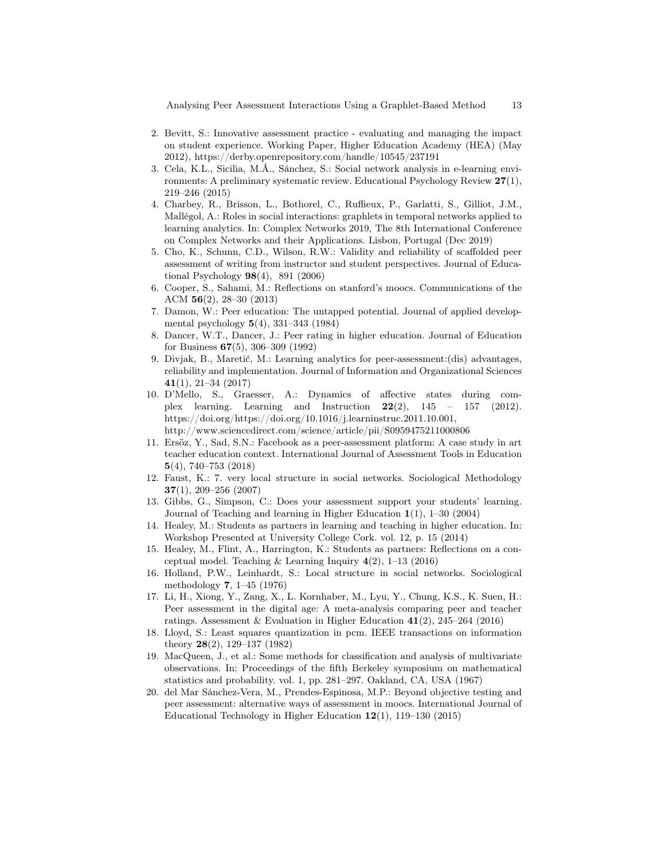Analysing Peer Assessment Interactions Using a Graphlet-Based Method 13

- 2. Bevitt, S.: Innovative assessment practice evaluating and managing the impact on student experience. Working Paper, Higher Education Academy (HEA) (May 2012), https://derby.openrepository.com/handle/10545/237191
- 3. Cela, K.L., Sicilia, M.Á., Sánchez, S.: Social network analysis in e-learning environments: A preliminary systematic review. Educational Psychology Review 27(1), 219–246 (2015)
- 4. Charbey, R., Brisson, L., Bothorel, C., Ruffieux, P., Garlatti, S., Gilliot, J.M., Mallégol, A.: Roles in social interactions: graphlets in temporal networks applied to learning analytics. In: Complex Networks 2019, The 8th International Conference on Complex Networks and their Applications. Lisbon, Portugal (Dec 2019)
- 5. Cho, K., Schunn, C.D., Wilson, R.W.: Validity and reliability of scaffolded peer assessment of writing from instructor and student perspectives. Journal of Educational Psychology 98(4), 891 (2006)
- 6. Cooper, S., Sahami, M.: Reflections on stanford's moocs. Communications of the ACM 56(2), 28–30 (2013)
- 7. Damon, W.: Peer education: The untapped potential. Journal of applied developmental psychology 5(4), 331–343 (1984)
- 8. Dancer, W.T., Dancer, J.: Peer rating in higher education. Journal of Education for Business 67(5), 306–309 (1992)
- 9. Divjak, B., Maretić, M.: Learning analytics for peer-assessment:(dis) advantages, reliability and implementation. Journal of Information and Organizational Sciences 41(1), 21–34 (2017)
- 10. D'Mello, S., Graesser, A.: Dynamics of affective states during complex learning. Learning and Instruction  $22(2)$ ,  $145 - 157$  (2012). https://doi.org/https://doi.org/10.1016/j.learninstruc.2011.10.001, http://www.sciencedirect.com/science/article/pii/S0959475211000806
- 11. Ersöz, Y., Sad, S.N.: Facebook as a peer-assessment platform: A case study in art teacher education context. International Journal of Assessment Tools in Education 5(4), 740–753 (2018)
- 12. Faust, K.: 7. very local structure in social networks. Sociological Methodology 37(1), 209–256 (2007)
- 13. Gibbs, G., Simpson, C.: Does your assessment support your students' learning. Journal of Teaching and learning in Higher Education 1(1), 1–30 (2004)
- 14. Healey, M.: Students as partners in learning and teaching in higher education. In: Workshop Presented at University College Cork. vol. 12, p. 15 (2014)
- 15. Healey, M., Flint, A., Harrington, K.: Students as partners: Reflections on a conceptual model. Teaching  $\&$  Learning Inquiry  $4(2)$ , 1–13 (2016)
- 16. Holland, P.W., Leinhardt, S.: Local structure in social networks. Sociological methodology 7, 1–45 (1976)
- 17. Li, H., Xiong, Y., Zang, X., L. Kornhaber, M., Lyu, Y., Chung, K.S., K. Suen, H.: Peer assessment in the digital age: A meta-analysis comparing peer and teacher ratings. Assessment & Evaluation in Higher Education  $41(2)$ , 245–264 (2016)
- 18. Lloyd, S.: Least squares quantization in pcm. IEEE transactions on information theory 28(2), 129–137 (1982)
- 19. MacQueen, J., et al.: Some methods for classification and analysis of multivariate observations. In: Proceedings of the fifth Berkeley symposium on mathematical statistics and probability. vol. 1, pp. 281–297. Oakland, CA, USA (1967)
- 20. del Mar Sánchez-Vera, M., Prendes-Espinosa, M.P.: Beyond objective testing and peer assessment: alternative ways of assessment in moocs. International Journal of Educational Technology in Higher Education 12(1), 119–130 (2015)